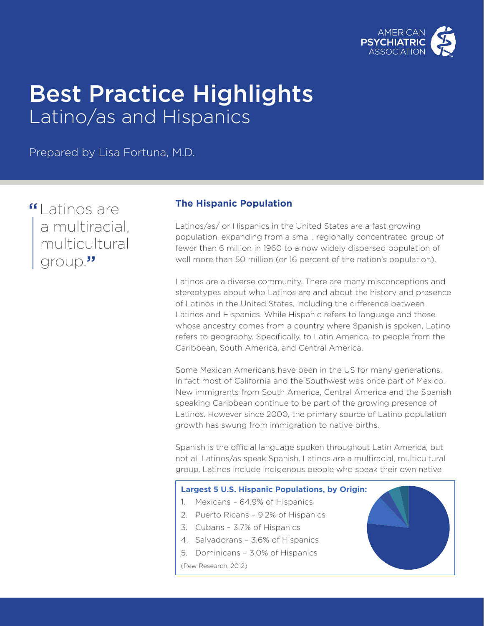

# Best Practice Highlights Latino/as and Hispanics

Prepared by Lisa Fortuna, M.D.

"Latinos are a multiracial, multicultural group."

## **The Hispanic Population**

Latinos/as/ or Hispanics in the United States are a fast growing population, expanding from a small, regionally concentrated group of fewer than 6 million in 1960 to a now widely dispersed population of well more than 50 million (or 16 percent of the nation's population).

Latinos are a diverse community. There are many misconceptions and stereotypes about who Latinos are and about the history and presence of Latinos in the United States, including the difference between Latinos and Hispanics. While Hispanic refers to language and those whose ancestry comes from a country where Spanish is spoken, Latino refers to geography. Specifically, to Latin America, to people from the Caribbean, South America, and Central America.

Some Mexican Americans have been in the US for many generations. In fact most of California and the Southwest was once part of Mexico. New immigrants from South America, Central America and the Spanish speaking Caribbean continue to be part of the growing presence of Latinos. However since 2000, the primary source of Latino population growth has swung from immigration to native births.

Spanish is the official language spoken throughout Latin America, but not all Latinos/as speak Spanish. Latinos are a multiracial, multicultural group. Latinos include indigenous people who speak their own native

## **Largest 5 U.S. Hispanic Populations, by Origin:**

- 1. Mexicans 64.9% of Hispanics
- 2. Puerto Ricans 9.2% of Hispanics
- 3. Cubans 3.7% of Hispanics
- 4. Salvadorans 3.6% of Hispanics
- 5. Dominicans 3.0% of Hispanics

(Pew Research, 2012)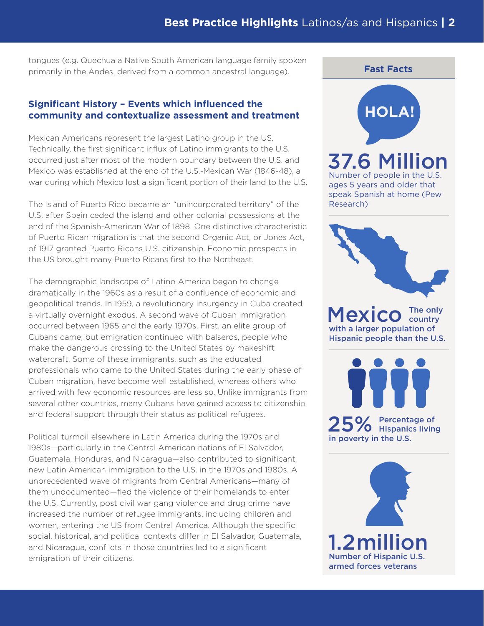tongues (e.g. Quechua a Native South American language family spoken primarily in the Andes, derived from a common ancestral language).

## **Significant History – Events which influenced the community and contextualize assessment and treatment**

Mexican Americans represent the largest Latino group in the US. Technically, the first significant influx of Latino immigrants to the U.S. occurred just after most of the modern boundary between the U.S. and Mexico was established at the end of the U.S.-Mexican War (1846-48), a war during which Mexico lost a significant portion of their land to the U.S.

The island of Puerto Rico became an "unincorporated territory" of the U.S. after Spain ceded the island and other colonial possessions at the end of the Spanish-American War of 1898. One distinctive characteristic of Puerto Rican migration is that the second Organic Act, or Jones Act, of 1917 granted Puerto Ricans U.S. citizenship. Economic prospects in the US brought many Puerto Ricans first to the Northeast.

The demographic landscape of Latino America began to change dramatically in the 1960s as a result of a confluence of economic and geopolitical trends. In 1959, a revolutionary insurgency in Cuba created a virtually overnight exodus. A second wave of Cuban immigration occurred between 1965 and the early 1970s. First, an elite group of Cubans came, but emigration continued with balseros, people who make the dangerous crossing to the United States by makeshift watercraft. Some of these immigrants, such as the educated professionals who came to the United States during the early phase of Cuban migration, have become well established, whereas others who arrived with few economic resources are less so. Unlike immigrants from several other countries, many Cubans have gained access to citizenship and federal support through their status as political refugees.

Political turmoil elsewhere in Latin America during the 1970s and 1980s—particularly in the Central American nations of El Salvador, Guatemala, Honduras, and Nicaragua—also contributed to significant new Latin American immigration to the U.S. in the 1970s and 1980s. A unprecedented wave of migrants from Central Americans—many of them undocumented—fled the violence of their homelands to enter the U.S. Currently, post civil war gang violence and drug crime have increased the number of refugee immigrants, including children and women, entering the US from Central America. Although the specific social, historical, and political contexts differ in El Salvador, Guatemala, and Nicaragua, conflicts in those countries led to a significant emigration of their citizens.

## **HOLA!** 37.6 Million Number of people in the U.S. ages 5 years and older that speak Spanish at home (Pew Research)

**Fast Facts**



Mexico The only with a larger population of Hispanic people than the U.S.

25% Percentage of<br>
Percentage of Hispanics living in poverty in the U.S.

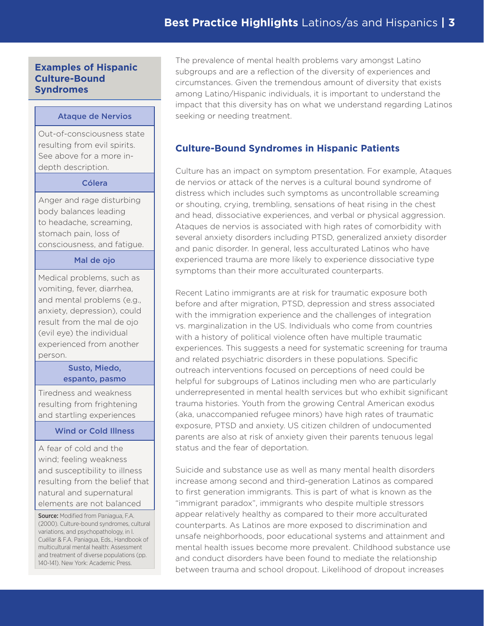## **Examples of Hispanic Culture-Bound Syndromes**

#### Ataque de Nervios

Out-of-consciousness state resulting from evil spirits. See above for a more indepth description.

#### Cólera

Anger and rage disturbing body balances leading to headache, screaming, stomach pain, loss of consciousness, and fatigue.

#### Mal de ojo

Medical problems, such as vomiting, fever, diarrhea, and mental problems (e.g., anxiety, depression), could result from the mal de ojo (evil eye) the individual experienced from another person.

#### Susto, Miedo, espanto, pasmo

Tiredness and weakness resulting from frightening and startling experiences

#### Wind or Cold Illness

A fear of cold and the wind; feeling weakness and susceptibility to illness resulting from the belief that natural and supernatural elements are not balanced

Source: Modified from Paniagua, F.A. (2000). Culture-bound syndromes, cultural variations, and psychopathology, in I. Cuéllar & F.A. Paniagua, Eds., Handbook of multicultural mental health: Assessment and treatment of diverse populations (pp. 140-141). New York: Academic Press.

The prevalence of mental health problems vary amongst Latino subgroups and are a reflection of the diversity of experiences and circumstances. Given the tremendous amount of diversity that exists among Latino/Hispanic individuals, it is important to understand the impact that this diversity has on what we understand regarding Latinos seeking or needing treatment.

## **Culture-Bound Syndromes in Hispanic Patients**

Culture has an impact on symptom presentation. For example, Ataques de nervios or attack of the nerves is a cultural bound syndrome of distress which includes such symptoms as uncontrollable screaming or shouting, crying, trembling, sensations of heat rising in the chest and head, dissociative experiences, and verbal or physical aggression. Ataques de nervios is associated with high rates of comorbidity with several anxiety disorders including PTSD, generalized anxiety disorder and panic disorder. In general, less acculturated Latinos who have experienced trauma are more likely to experience dissociative type symptoms than their more acculturated counterparts.

Recent Latino immigrants are at risk for traumatic exposure both before and after migration, PTSD, depression and stress associated with the immigration experience and the challenges of integration vs. marginalization in the US. Individuals who come from countries with a history of political violence often have multiple traumatic experiences. This suggests a need for systematic screening for trauma and related psychiatric disorders in these populations. Specific outreach interventions focused on perceptions of need could be helpful for subgroups of Latinos including men who are particularly underrepresented in mental health services but who exhibit significant trauma histories. Youth from the growing Central American exodus (aka, unaccompanied refugee minors) have high rates of traumatic exposure, PTSD and anxiety. US citizen children of undocumented parents are also at risk of anxiety given their parents tenuous legal status and the fear of deportation.

Suicide and substance use as well as many mental health disorders increase among second and third-generation Latinos as compared to first generation immigrants. This is part of what is known as the "immigrant paradox", immigrants who despite multiple stressors appear relatively healthy as compared to their more acculturated counterparts. As Latinos are more exposed to discrimination and unsafe neighborhoods, poor educational systems and attainment and mental health issues become more prevalent. Childhood substance use and conduct disorders have been found to mediate the relationship between trauma and school dropout. Likelihood of dropout increases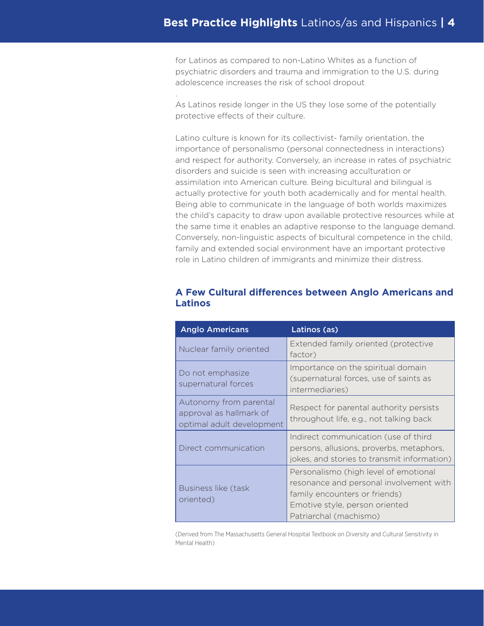for Latinos as compared to non-Latino Whites as a function of psychiatric disorders and trauma and immigration to the U.S. during adolescence increases the risk of school dropout

As Latinos reside longer in the US they lose some of the potentially protective effects of their culture.

.

Latino culture is known for its collectivist- family orientation, the importance of personalismo (personal connectedness in interactions) and respect for authority. Conversely, an increase in rates of psychiatric disorders and suicide is seen with increasing acculturation or assimilation into American culture. Being bicultural and bilingual is actually protective for youth both academically and for mental health. Being able to communicate in the language of both worlds maximizes the child's capacity to draw upon available protective resources while at the same time it enables an adaptive response to the language demand. Conversely, non-linguistic aspects of bicultural competence in the child, family and extended social environment have an important protective role in Latino children of immigrants and minimize their distress.

| <b>Anglo Americans</b>                                                         | Latinos (as)                                                                                                                                                                  |
|--------------------------------------------------------------------------------|-------------------------------------------------------------------------------------------------------------------------------------------------------------------------------|
| Nuclear family oriented                                                        | Extended family oriented (protective<br>factor)                                                                                                                               |
| Do not emphasize<br>supernatural forces                                        | Importance on the spiritual domain<br>(supernatural forces, use of saints as<br>intermediaries)                                                                               |
| Autonomy from parental<br>approval as hallmark of<br>optimal adult development | Respect for parental authority persists<br>throughout life, e.g., not talking back                                                                                            |
| Direct communication                                                           | Indirect communication (use of third<br>persons, allusions, proverbs, metaphors,<br>jokes, and stories to transmit information)                                               |
| <b>Business like (task</b><br>oriented)                                        | Personalismo (high level of emotional<br>resonance and personal involvement with<br>family encounters or friends)<br>Emotive style, person oriented<br>Patriarchal (machismo) |

## **A Few Cultural differences between Anglo Americans and Latinos**

(Derived from The Massachusetts General Hospital Textbook on Diversity and Cultural Sensitivity in Mental Health)